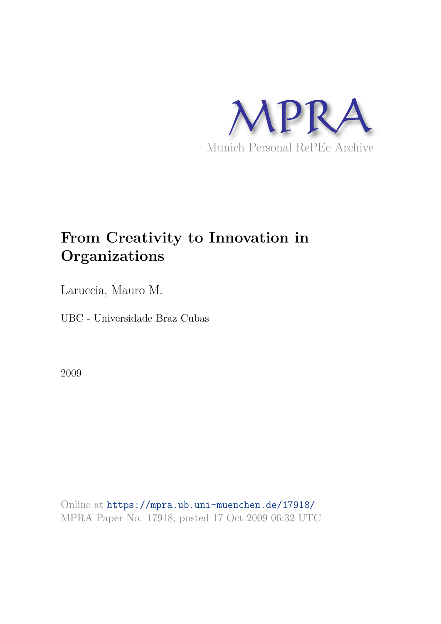

# **From Creativity to Innovation in Organizations**

Laruccia, Mauro M.

UBC - Universidade Braz Cubas

2009

Online at https://mpra.ub.uni-muenchen.de/17918/ MPRA Paper No. 17918, posted 17 Oct 2009 06:32 UTC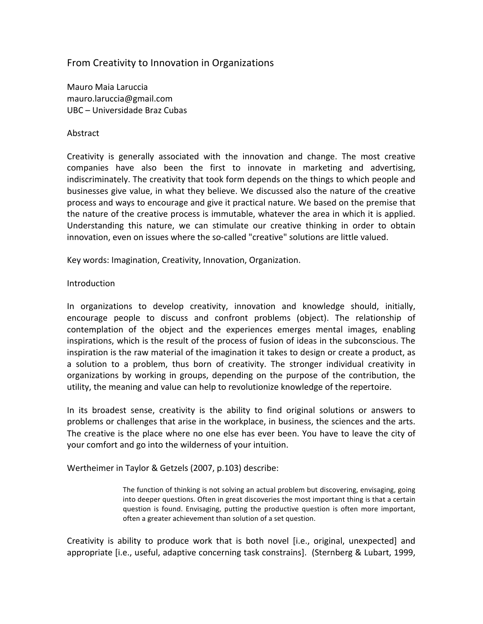# From
Creativity
to
Innovation
in
Organizations

Mauro
Maia
Laruccia mauro.laruccia@gmail.com UBC
–
Universidade
Braz
Cubas

#### Abstract

Creativity is generally associated with the innovation and change. The most creative companies
 have
 also
 been
 the
 first
 to
 innovate
 in
 marketing
 and
 advertising, indiscriminately. The creativity that took form depends on the things to which people and businesses give value, in what they believe. We discussed also the nature of the creative process and ways to encourage and give it practical nature. We based on the premise that the
nature
of
the
creative
process
is
immutable,
whatever
the
area
in
which
it
is
applied. Understanding this nature, we can stimulate our creative thinking in order to obtain innovation, even on issues where the so-called "creative" solutions are little valued.

Key
words:
Imagination,
Creativity,
Innovation,
Organization.

## **Introduction**

In organizations to develop creativity, innovation and knowledge should, initially, encourage
 people
 to
 discuss
 and
 confront
 problems
 (object).
 The
 relationship
 of contemplation
 of
 the
 object
 and
 the
 experiences
 emerges
 mental
 images,
 enabling inspirations, which is the result of the process of fusion of ideas in the subconscious. The inspiration is the raw material of the imagination it takes to design or create a product, as a solution to a problem, thus born of creativity. The stronger individual creativity in organizations
 by
 working
 in
 groups,
 depending
 on
 the
 purpose
 of
 the
 contribution,
 the utility, the meaning and value can help to revolutionize knowledge of the repertoire.

In its broadest sense, creativity is the ability to find original solutions or answers to problems
or
challenges
that
arise
in
the
workplace,
in
business,
the
sciences
and
the
arts. The creative is the place where no one else has ever been. You have to leave the city of your comfort and go into the wilderness of your intuition.

Wertheimer
in
Taylor
&
Getzels
(2007,
p.103)
describe:

The function of thinking is not solving an actual problem but discovering, envisaging, going into deeper questions. Often in great discoveries the most important thing is that a certain question
 is
 found.
 Envisaging,
 putting
 the
 productive
 question
 is
 often
 more
 important, often
a
greater
achievement
than
solution
of
a
set
question.

Creativity is ability to produce work that is both novel [i.e., original, unexpected] and appropriate [i.e., useful, adaptive concerning task constrains]. (Sternberg & Lubart, 1999,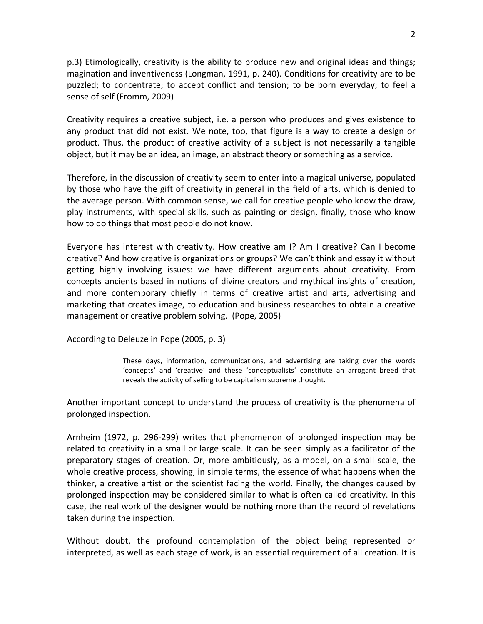p.3) Etimologically, creativity is the ability to produce new and original ideas and things; magination and inventiveness (Longman, 1991, p. 240). Conditions for creativity are to be puzzled; to concentrate; to accept conflict and tension; to be born everyday; to feel a sense
of
self
(Fromm,
2009)

Creativity requires a creative subject, i.e. a person who produces and gives existence to any product that did not exist. We note, too, that figure is a way to create a design or product. Thus, the product of creative activity of a subject is not necessarily a tangible object, but it may be an idea, an image, an abstract theory or something as a service.

Therefore, in the discussion of creativity seem to enter into a magical universe, populated by those who have the gift of creativity in general in the field of arts, which is denied to the
average
person.
With
common
sense,
we
call
for
creative
people
who
know
the
draw, play instruments, with special skills, such as painting or design, finally, those who know how to do things that most people do not know.

Everyone has interest with creativity. How creative am I? Am I creative? Can I become creative? And how creative is organizations or groups? We can't think and essay it without getting highly involving issues: we have different arguments about creativity. From concepts ancients based in notions of divine creators and mythical insights of creation, and more contemporary chiefly in terms of creative artist and arts, advertising and marketing that creates image, to education and business researches to obtain a creative management
or
creative
problem
solving.

(Pope,
2005)

According
to
Deleuze
in
Pope
(2005,
p.
3)

These days, information, communications, and advertising are taking over the words 'concepts' and 'creative' and these 'conceptualists' constitute an arrogant breed that reveals
the
activity
of
selling
to
be
capitalism
supreme
thought.

Another
important
concept
 to
understand
 the
process
of
creativity
is
 the
phenomena
of prolonged
inspection.

Arnheim (1972, p. 296-299) writes that phenomenon of prolonged inspection may be related to creativity in a small or large scale. It can be seen simply as a facilitator of the preparatory stages of creation. Or, more ambitiously, as a model, on a small scale, the whole creative process, showing, in simple terms, the essence of what happens when the thinker, a creative artist or the scientist facing the world. Finally, the changes caused by prolonged
inspection
may
be
considered
similar
 to
what
is
often
called
creativity.
In
 this case,
the
real
work
of
the
designer
would
be
nothing
more
than
the
record
of
revelations taken
during
the
inspection.

Without doubt, the profound contemplation of the object being represented or interpreted, as well as each stage of work, is an essential requirement of all creation. It is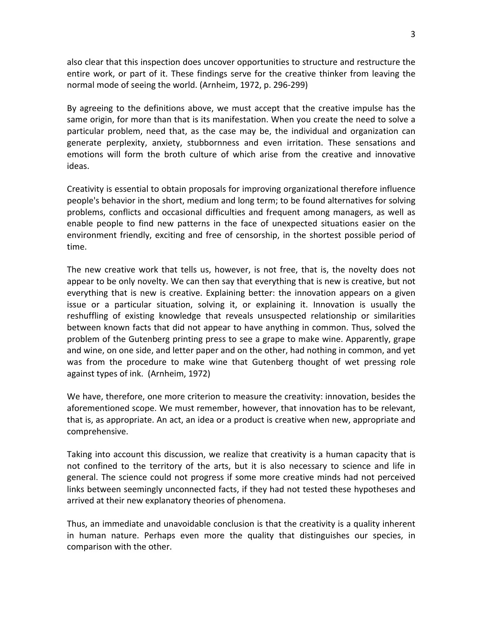also
clear
that
this
inspection
does
uncover
opportunities
to
structure
and
restructure
the entire work, or part of it. These findings serve for the creative thinker from leaving the normal mode of seeing the world. (Arnheim, 1972, p. 296-299)

By agreeing to the definitions above, we must accept that the creative impulse has the same origin, for more than that is its manifestation. When you create the need to solve a particular problem, need that, as the case may be, the individual and organization can generate perplexity, anxiety, stubbornness and even irritation. These sensations and emotions will form the broth culture of which arise from the creative and innovative ideas.

Creativity is essential to obtain proposals for improving organizational therefore influence people's
behavior
in
the
short,
medium
and
long
term;
to
be
found
alternatives
for
solving problems,
 conflicts
 and
 occasional
 difficulties
 and
 frequent
 among
managers,
 as
 well
 as enable people to find new patterns in the face of unexpected situations easier on the environment friendly, exciting and free of censorship, in the shortest possible period of time.

The new creative work that tells us, however, is not free, that is, the novelty does not appear to be only novelty. We can then say that everything that is new is creative, but not everything that is new is creative. Explaining better: the innovation appears on a given issue or a particular situation, solving it, or explaining it. Innovation is usually the reshuffling of existing knowledge that reveals unsuspected relationship or similarities between known facts that did not appear to have anything in common. Thus, solved the problem of the Gutenberg printing press to see a grape to make wine. Apparently, grape and wine, on one side, and letter paper and on the other, had nothing in common, and yet was from the procedure to make wine that Gutenberg thought of wet pressing role against
types
of
ink.

(Arnheim,
1972)

We have, therefore, one more criterion to measure the creativity: innovation, besides the aforementioned
scope.
We
must
remember,
however,
that
innovation
has
to
be
relevant, that
is,
as
appropriate.
An
act,
an
idea
or
a
product
is
creative
when
new,
appropriate
and comprehensive.

Taking into account this discussion, we realize that creativity is a human capacity that is not confined to the territory of the arts, but it is also necessary to science and life in general.
The
 science
 could
 not
 progress
if
 some
more
 creative
minds
 had
 not
 perceived links between seemingly unconnected facts, if they had not tested these hypotheses and arrived
at
their
new
explanatory
theories
of
phenomena.

Thus,
an
immediate
and
unavoidable
conclusion
is
that
the
creativity
is
a
quality
inherent in human nature. Perhaps even more the quality that distinguishes our species, in comparison
with
the
other.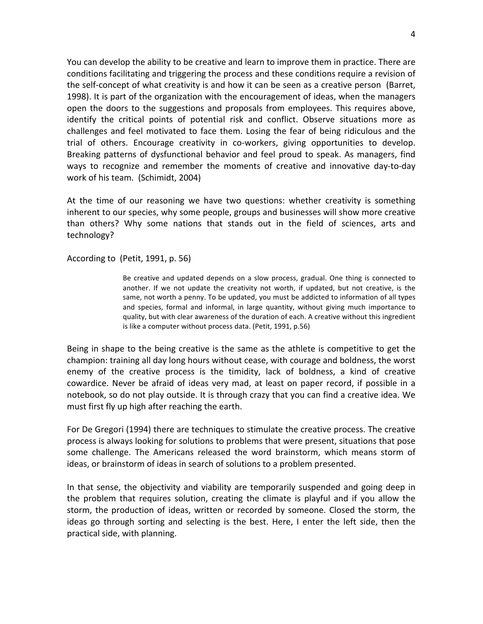You can develop the ability to be creative and learn to improve them in practice. There are conditions facilitating and triggering the process and these conditions require a revision of the self-concept of what creativity is and how it can be seen as a creative person (Barret, 1998).
It
is
part
of
the
organization
with
the
encouragement
of
ideas,
when
the
managers open the doors to the suggestions and proposals from employees. This requires above, identify the critical points of potential risk and conflict. Observe situations more as challenges
 and
 feel
motivated
 to
 face
 them.
 Losing
 the
 fear
 of
 being
 ridiculous
 and
 the trial of others. Encourage creativity in co-workers, giving opportunities to develop. Breaking patterns of dysfunctional behavior and feel proud to speak. As managers, find ways to recognize and remember the moments of creative and innovative day-to-day work
of
his
team.

(Schimidt,
2004)

At the time of our reasoning we have two questions: whether creativity is something inherent to our species, why some people, groups and businesses will show more creative than others? Why some nations that stands out in the field of sciences, arts and technology?

According
to

(Petit,
1991,
p.
56)

Be creative and updated depends on a slow process, gradual. One thing is connected to another. If we not update the creativity not worth, if updated, but not creative, is the same, not worth a penny. To be updated, you must be addicted to information of all types and species, formal and informal, in large quantity, without giving much importance to quality, but with clear awareness of the duration of each. A creative without this ingredient is
like
a
computer
without
process
data.
(Petit,
1991,
p.56)

Being in shape to the being creative is the same as the athlete is competitive to get the champion:
training
all
day
long
hours
without
cease,
with
courage
and
boldness,
the
worst enemy of the creative process is the timidity, lack of boldness, a kind of creative cowardice. Never be afraid of ideas very mad, at least on paper record, if possible in a notebook, so do not play outside. It is through crazy that you can find a creative idea. We must
first
fly
up
high
after
reaching
the
earth.

For De Gregori (1994) there are techniques to stimulate the creative process. The creative process is always looking for solutions to problems that were present, situations that pose some challenge. The Americans released the word brainstorm, which means storm of ideas, or brainstorm of ideas in search of solutions to a problem presented.

In that sense, the objectivity and viability are temporarily suspended and going deep in the problem that requires solution, creating the climate is playful and if you allow the storm, the production of ideas, written or recorded by someone. Closed the storm, the ideas go through sorting and selecting is the best. Here, I enter the left side, then the practical
side,
with
planning.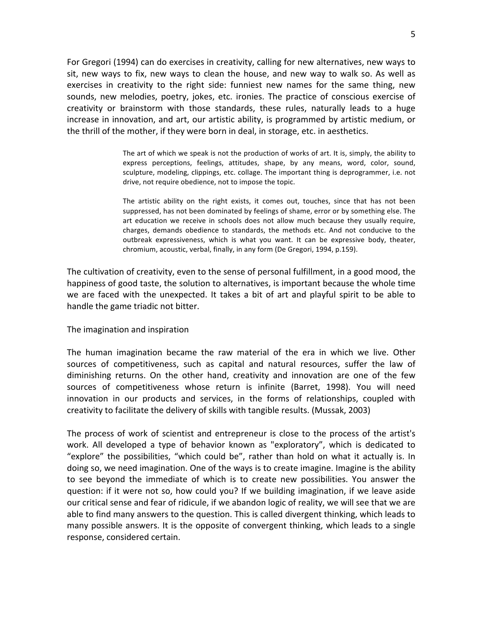For
Gregori
(1994)
can
do
exercises
in
creativity,
calling
for
new
alternatives,
new
ways
to sit, new ways to fix, new ways to clean the house, and new way to walk so. As well as exercises in creativity to the right side: funniest new names for the same thing, new sounds, new melodies, poetry, jokes, etc. ironies. The practice of conscious exercise of creativity or brainstorm with those standards, these rules, naturally leads to a huge increase in innovation, and art, our artistic ability, is programmed by artistic medium, or the
thrill
of
the
mother,
if
they
were
born
in
deal,
in
storage,
etc.
in
aesthetics.

> The art of which we speak is not the production of works of art. It is, simply, the ability to express perceptions, feelings, attitudes, shape, by any means, word, color, sound, sculpture, modeling, clippings, etc. collage. The important thing is deprogrammer, i.e. not drive, not require obedience, not to impose the topic.

> The artistic ability on the right exists, it comes out, touches, since that has not been suppressed, has not been dominated by feelings of shame, error or by something else. The art education we receive in schools does not allow much because they usually require, charges,
>  demands
>  obedience
>  to
>  standards,
>  the
>  methods
>  etc.
>  And
>  not
>  conducive
>  to
>  the outbreak expressiveness, which is what you want. It can be expressive body, theater, chromium,
> acoustic,
> verbal,
> finally,
> in
> any
> form
> (De
> Gregori,
> 1994,
> p.159).

The cultivation of creativity, even to the sense of personal fulfillment, in a good mood, the happiness of good taste, the solution to alternatives, is important because the whole time we are faced with the unexpected. It takes a bit of art and playful spirit to be able to handle
the
game
triadic
not
bitter.

#### The
imagination
and
inspiration

The human imagination became the raw material of the era in which we live. Other sources of competitiveness, such as capital and natural resources, suffer the law of diminishing returns. On the other hand, creativity and innovation are one of the few sources of competitiveness whose return is infinite (Barret, 1998). You will need innovation in our products and services, in the forms of relationships, coupled with creativity
to
facilitate
the
delivery
of
skills
with
tangible
results.
(Mussak,
2003)

The process of work of scientist and entrepreneur is close to the process of the artist's work. All developed a type of behavior known as "exploratory", which is dedicated to "explore" the possibilities, "which could be", rather than hold on what it actually is. In doing so, we need imagination. One of the ways is to create imagine. Imagine is the ability to see beyond the immediate of which is to create new possibilities. You answer the question: if it were not so, how could you? If we building imagination, if we leave aside our critical sense and fear of ridicule, if we abandon logic of reality, we will see that we are able to find many answers to the question. This is called divergent thinking, which leads to many possible answers. It is the opposite of convergent thinking, which leads to a single response,
considered
certain.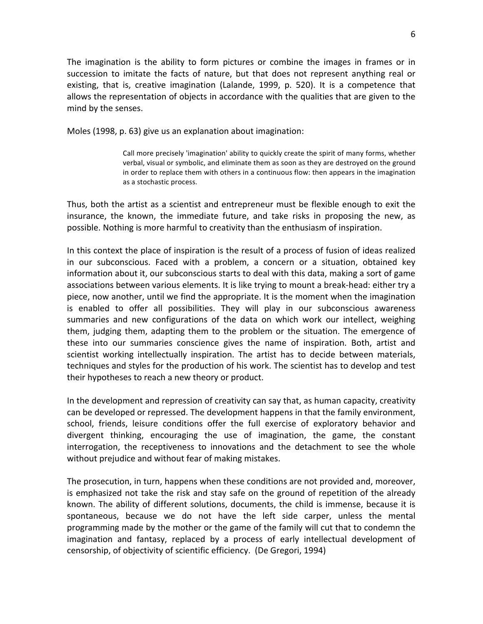The imagination is the ability to form pictures or combine the images in frames or in succession to imitate the facts of nature, but that does not represent anything real or existing, that is, creative imagination (Lalande, 1999, p. 520). It is a competence that allows
the
representation
of
objects
in
accordance
with
the
qualities
that
are
given
to
the mind
by
the
senses.

Moles
(1998,
p.
63)
give
us
an
explanation
about
imagination:

Call more precisely 'imagination' ability to quickly create the spirit of many forms, whether verbal, visual or symbolic, and eliminate them as soon as they are destroyed on the ground in order to replace them with others in a continuous flow: then appears in the imagination as
a
stochastic
process.

Thus, both the artist as a scientist and entrepreneur must be flexible enough to exit the insurance, the known, the immediate future, and take risks in proposing the new, as possible.
Nothing
is
more
harmful
to
creativity
than
the
enthusiasm
of
inspiration.

In this context the place of inspiration is the result of a process of fusion of ideas realized in
 our
 subconscious.
 Faced
 with
 a
 problem,
 a
 concern
 or
 a
 situation,
 obtained
 key information about it, our subconscious starts to deal with this data, making a sort of game associations between various elements. It is like trying to mount a break-head: either try a piece,
now
another,
until
we
find
the
appropriate.
It
is
the
moment
when
the
imagination is
 enabled
 to
 offer
 all
 possibilities.
 They
 will
 play
 in
 our
 subconscious
 awareness summaries and new configurations of the data on which work our intellect, weighing them, judging them, adapting them to the problem or the situation. The emergence of these into our summaries conscience gives the name of inspiration. Both, artist and scientist working intellectually inspiration. The artist has to decide between materials, techniques
and
styles
for
the
production
of
his
work.
The
scientist
has
to
develop
and
test their
hypotheses
to
reach
a
new
theory
or
product.

In
the
development
and
repression
of
creativity
can
say
that,
as
human
capacity,
creativity can
be
developed
or
repressed.
The
development
happens
in
that
the
family
environment, school, friends, leisure conditions offer the full exercise of exploratory behavior and divergent thinking, encouraging the use of imagination, the game, the constant interrogation, the receptiveness to innovations and the detachment to see the whole without prejudice and without fear of making mistakes.

The
prosecution,
in
turn,
happens
when
these
conditions
are
not
provided
and,
moreover, is emphasized not take the risk and stay safe on the ground of repetition of the already known. The ability of different solutions, documents, the child is immense, because it is spontaneous,
 because
 we
 do
 not
 have
 the
 left
 side
 carper,
 unless
 the
 mental programming
made
by
the
mother
or
the
game
of
the
family
will
cut
that
to
condemn
the imagination and fantasy, replaced by a process of early intellectual development of censorship,
of
objectivity
of
scientific
efficiency.

(De
Gregori,
1994)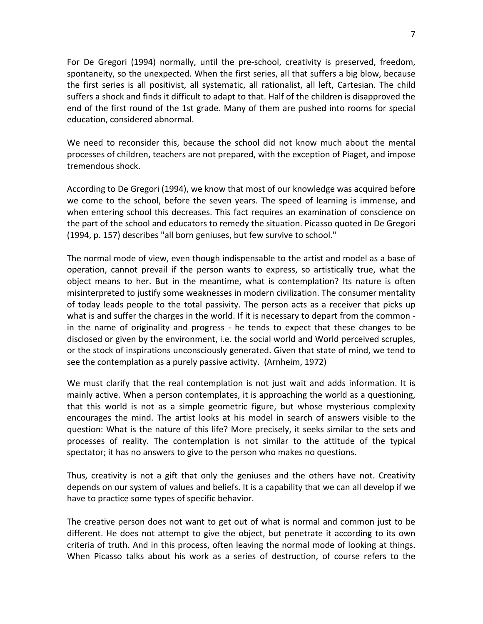For De Gregori (1994) normally, until the pre-school, creativity is preserved, freedom, spontaneity, so the unexpected. When the first series, all that suffers a big blow, because the first series is all positivist, all systematic, all rationalist, all left, Cartesian. The child suffers a shock and finds it difficult to adapt to that. Half of the children is disapproved the end of the first round of the 1st grade. Many of them are pushed into rooms for special education,
considered
abnormal.

We need to reconsider this, because the school did not know much about the mental processes
of
children,
teachers
are
not
prepared,
with
the
exception
of
Piaget,
and
impose tremendous
shock.

According
to
De
Gregori
(1994),
we
know
that
most
of
our
knowledge
was
acquired
before we come to the school, before the seven years. The speed of learning is immense, and when entering school this decreases. This fact requires an examination of conscience on the part of the school and educators to remedy the situation. Picasso quoted in De Gregori (1994,
p.
157)
describes
"all
born
geniuses,
but
few
survive
to
school."

The
normal
mode
of
view,
even
though
indispensable
to
the
artist
and
model
as
a
base
of operation,
 cannot
 prevail
 if
 the
 person
 wants
 to
 express,
 so
 artistically
 true,
 what
 the object means to her. But in the meantime, what is contemplation? Its nature is often misinterpreted to justify some weaknesses in modern civilization. The consumer mentality of today leads people to the total passivity. The person acts as a receiver that picks up what is and suffer the charges in the world. If it is necessary to depart from the common in the name of originality and progress - he tends to expect that these changes to be disclosed or given by the environment, i.e. the social world and World perceived scruples, or the stock of inspirations unconsciously generated. Given that state of mind, we tend to see
the
contemplation
as
a
purely
passive
activity.

(Arnheim,
1972)

We must clarify that the real contemplation is not just wait and adds information. It is mainly active. When a person contemplates, it is approaching the world as a questioning, that this world is not as a simple geometric figure, but whose mysterious complexity encourages the mind. The artist looks at his model in search of answers visible to the question: What is the nature of this life? More precisely, it seeks similar to the sets and processes of reality. The contemplation is not similar to the attitude of the typical spectator; it has no answers to give to the person who makes no questions.

Thus, creativity is not a gift that only the geniuses and the others have not. Creativity depends on our system of values and beliefs. It is a capability that we can all develop if we have
to
practice
some
types
of
specific
behavior.

The creative person does not want to get out of what is normal and common just to be different. He does not attempt to give the object, but penetrate it according to its own criteria of truth. And in this process, often leaving the normal mode of looking at things. When Picasso talks about his work as a series of destruction, of course refers to the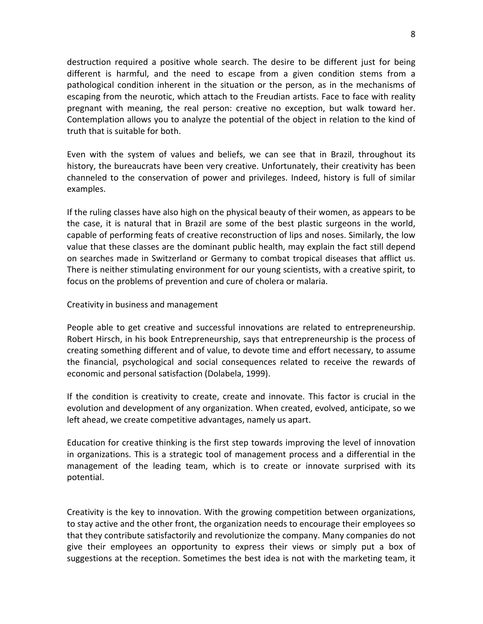destruction required a positive whole search. The desire to be different just for being different is harmful, and the need to escape from a given condition stems from a pathological condition inherent in the situation or the person, as in the mechanisms of escaping from the neurotic, which attach to the Freudian artists. Face to face with reality pregnant with meaning, the real person: creative no exception, but walk toward her. Contemplation allows you to analyze the potential of the object in relation to the kind of truth
that
is
suitable
for
both.

Even with the system of values and beliefs, we can see that in Brazil, throughout its history, the bureaucrats have been very creative. Unfortunately, their creativity has been channeled to the conservation of power and privileges. Indeed, history is full of similar examples.

If the ruling classes have also high on the physical beauty of their women, as appears to be the case, it is natural that in Brazil are some of the best plastic surgeons in the world, capable
of
performing
feats
of
creative
reconstruction
of
lips
and
noses.
Similarly,
the
low value that these classes are the dominant public health, may explain the fact still depend on
 searches
made
in
Switzerland
or
Germany
 to
combat
 tropical
diseases
 that
afflict
us. There is neither stimulating environment for our young scientists, with a creative spirit, to focus
on
the
problems
of
prevention
and
cure
of
cholera
or
malaria.

#### Creativity
in
business
and
management

People able to get creative and successful innovations are related to entrepreneurship. Robert Hirsch, in his book Entrepreneurship, says that entrepreneurship is the process of creating
something
different
and
of
value,
to
devote
time
and
effort
necessary,
to
assume the
 financial,
 psychological
 and
 social
 consequences
 related
 to
 receive
 the
 rewards
 of economic
and
personal
satisfaction
(Dolabela,
1999).

If the condition is creativity to create, create and innovate. This factor is crucial in the evolution
and
development
of
any
organization.
When
created,
evolved,
anticipate,
so
we left
ahead,
we
create
competitive
advantages,
namely
us
apart.

Education for creative thinking is the first step towards improving the level of innovation in organizations. This is a strategic tool of management process and a differential in the management of the leading team, which is to create or innovate surprised with its potential.

Creativity is the key to innovation. With the growing competition between organizations, to stay active and the other front, the organization needs to encourage their employees so that
they
contribute
satisfactorily
and
revolutionize
the
company.
Many
companies
do
not give their employees an opportunity to express their views or simply put a box of suggestions at the reception. Sometimes the best idea is not with the marketing team, it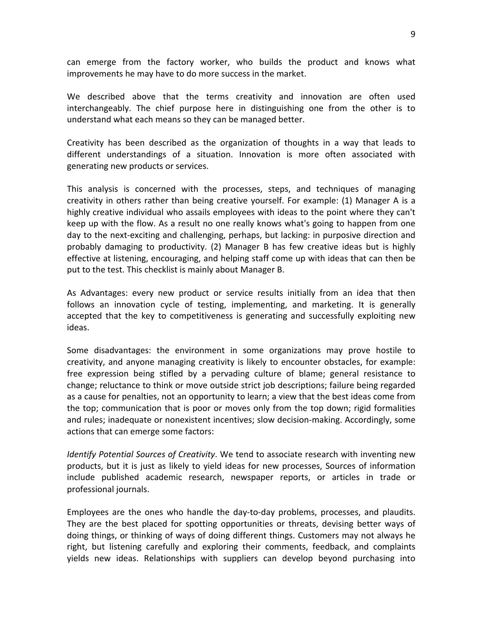can
 emerge
 from
 the
 factory
 worker,
 who
 builds
 the
 product
 and
 knows
 what improvements he may have to do more success in the market.

We described above that the terms creativity and innovation are often used interchangeably. The chief purpose here in distinguishing one from the other is to understand
what
each
means
so
they
can
be
managed
better.

Creativity has been described as the organization of thoughts in a way that leads to different understandings of a situation. Innovation is more often associated with generating
new
products
or
services.

This
 analysis
 is
 concerned
 with
 the
 processes,
 steps,
 and
 techniques
 of
 managing creativity in others rather than being creative yourself. For example: (1) Manager A is a highly creative individual who assails employees with ideas to the point where they can't keep up with the flow. As a result no one really knows what's going to happen from one day to the next-exciting and challenging, perhaps, but lacking: in purposive direction and probably damaging to productivity. (2) Manager B has few creative ideas but is highly effective
at
listening,
encouraging,
and
helping
staff
come
up
with
ideas
that
can
then
be put to the test. This checklist is mainly about Manager B.

As Advantages: every new product or service results initially from an idea that then follows an innovation cycle of testing, implementing, and marketing. It is generally accepted that the key to competitiveness is generating and successfully exploiting new ideas.

Some disadvantages: the environment in some organizations may prove hostile to creativity, and anyone managing creativity is likely to encounter obstacles, for example: free expression being stifled by a pervading culture of blame; general resistance to change;
reluctance
to
think
or
move
outside
strict
job
descriptions;
failure
being
regarded as a cause for penalties, not an opportunity to learn; a view that the best ideas come from the top; communication that is poor or moves only from the top down; rigid formalities and rules; inadequate or nonexistent incentives; slow decision-making. Accordingly, some actions
that
can
emerge
some
factors:

Identify Potential Sources of Creativity. We tend to associate research with inventing new products, but it is just as likely to yield ideas for new processes, Sources of information include published academic research, newspaper reports, or articles in trade or professional
journals.

Employees are the ones who handle the day-to-day problems, processes, and plaudits. They are the best placed for spotting opportunities or threats, devising better ways of doing things, or thinking of ways of doing different things. Customers may not always he right, but listening carefully and exploring their comments, feedback, and complaints yields new ideas. Relationships with suppliers can develop beyond purchasing into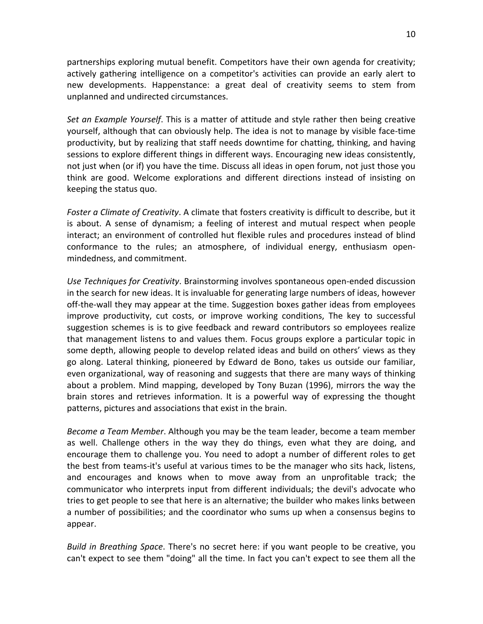partnerships
exploring
mutual
benefit.
Competitors
have
their
own
agenda
for
creativity; actively gathering intelligence on a competitor's activities can provide an early alert to new developments. Happenstance: a great deal of creativity seems to stem from unplanned
and
undirected
circumstances.

Set an Example Yourself. This is a matter of attitude and style rather then being creative yourself, although that can obviously help. The idea is not to manage by visible face-time productivity, but by realizing that staff needs downtime for chatting, thinking, and having sessions to explore different things in different ways. Encouraging new ideas consistently, not just when (or if) you have the time. Discuss all ideas in open forum, not just those you think are good. Welcome explorations and different directions instead of insisting on keeping
the
status
quo.

Foster a Climate of Creativity. A climate that fosters creativity is difficult to describe, but it is
 about.
 A
 sense
 of
 dynamism;
 a
 feeling
 of
 interest
 and
 mutual
 respect
 when
 people interact; an environment of controlled hut flexible rules and procedures instead of blind conformance to the rules; an atmosphere, of individual energy, enthusiasm openmindedness,
and
commitment.

Use Techniques for Creativity. Brainstorming involves spontaneous open-ended discussion in the search for new ideas. It is invaluable for generating large numbers of ideas, however off-the-wall they may appear at the time. Suggestion boxes gather ideas from employees improve productivity, cut costs, or improve working conditions, The key to successful suggestion schemes is is to give feedback and reward contributors so employees realize that management listens to and values them. Focus groups explore a particular topic in some depth, allowing people to develop related ideas and build on others' views as they go along. Lateral thinking, pioneered by Edward de Bono, takes us outside our familiar, even organizational, way of reasoning and suggests that there are many ways of thinking about a problem. Mind mapping, developed by Tony Buzan (1996), mirrors the way the brain stores and retrieves information. It is a powerful way of expressing the thought patterns,
pictures
and
associations
that
exist
in
the
brain.

Become a Team Member. Although you may be the team leader, become a team member as well. Challenge others in the way they do things, even what they are doing, and encourage them to challenge you. You need to adopt a number of different roles to get the
best
from
teams‐it's
useful
at
various
times
to
be
the
manager
who
sits
hack,
listens, and encourages and knows when to move away from an unprofitable track; the communicator
who
interprets
input
 from
 different
individuals;
 the
 devil's
advocate
who tries
to
get
people
to
see
that
here
is
an
alternative;
the
builder
who
makes
links
between a number of possibilities; and the coordinator who sums up when a consensus begins to appear.

*Build in Breathing Space*. There's no secret here: if you want people to be creative, you can't expect to see them "doing" all the time. In fact you can't expect to see them all the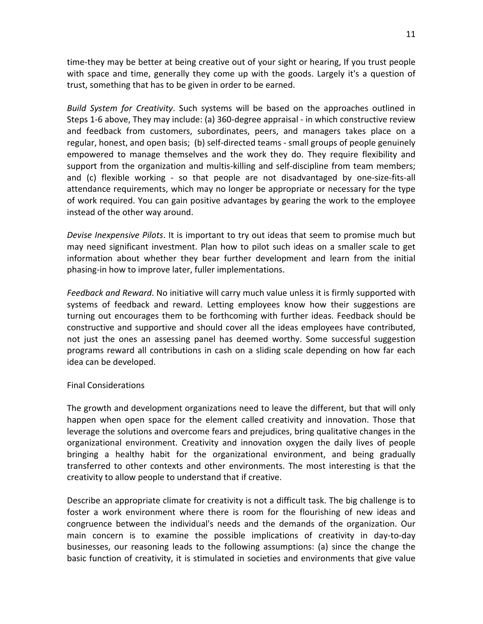time-they may be better at being creative out of your sight or hearing, If you trust people with space and time, generally they come up with the goods. Largely it's a question of trust,
something
that
has
to
be
given
in
order
to
be
earned.

Build System for Creativity. Such systems will be based on the approaches outlined in Steps 1-6 above, They may include: (a) 360-degree appraisal - in which constructive review and feedback from customers, subordinates, peers, and managers takes place on a regular, honest, and open basis; (b) self-directed teams - small groups of people genuinely empowered to manage themselves and the work they do. They require flexibility and support from the organization and multis-killing and self-discipline from team members; and (c) flexible working - so that people are not disadvantaged by one-size-fits-all attendance
requirements,
which
may
no
longer
be
appropriate
or
necessary
for
the
type of
work
required.
You
can
gain
positive
advantages
by
gearing
the
work
to
the
employee instead
of
the
other
way
around.

Devise *Inexpensive Pilots*. It is important to try out ideas that seem to promise much but may need significant investment. Plan how to pilot such ideas on a smaller scale to get information about whether they bear further development and learn from the initial phasing‐in
how
to
improve
later,
fuller
implementations.

Feedback and Reward. No initiative will carry much value unless it is firmly supported with systems of feedback and reward. Letting employees know how their suggestions are turning out encourages them to be forthcoming with further ideas. Feedback should be constructive
and
 supportive
and
 should
cover
all
 the
ideas
employees
have
contributed, not just the ones an assessing panel has deemed worthy. Some successful suggestion programs reward all contributions in cash on a sliding scale depending on how far each idea
can
be
developed.

## Final
Considerations

The
growth
and
development
organizations
need
to
leave
the
different,
but
that
will
only happen when open space for the element called creativity and innovation. Those that leverage the solutions and overcome fears and prejudices, bring qualitative changes in the organizational
 environment.
 Creativity
 and
 innovation
 oxygen
 the
 daily
 lives
 of
 people bringing a healthy habit for the organizational environment, and being gradually transferred
 to
 other
 contexts
 and
 other
 environments.
 The
 most
 interesting
 is
 that
 the creativity
to
allow
people
to
understand
that
if
creative.

Describe an appropriate climate for creativity is not a difficult task. The big challenge is to foster a work environment where there is room for the flourishing of new ideas and congruence
 between
 the
 individual's
 needs
 and
 the
 demands
 of
 the
 organization.
 Our main concern is to examine the possible implications of creativity in day-to-day businesses, our reasoning leads to the following assumptions: (a) since the change the basic function of creativity, it is stimulated in societies and environments that give value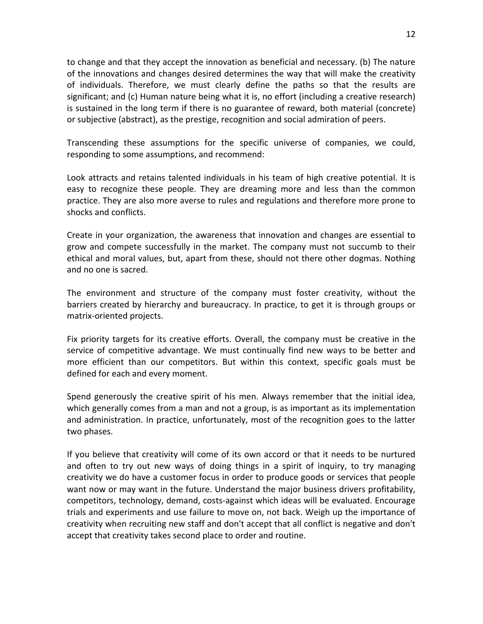to
change
and
that
they
accept
the
innovation
as
beneficial
and
necessary.
(b)
The
nature of
the
innovations
and
changes
desired
determines
the
way
that
will
make
the
creativity of individuals. Therefore, we must clearly define the paths so that the results are significant; and (c) Human nature being what it is, no effort (including a creative research) is sustained in the long term if there is no guarantee of reward, both material (concrete) or
subjective
(abstract),
as
the
prestige,
recognition
and
social
admiration
of
peers.

Transcending these assumptions for the specific universe of companies, we could, responding to some assumptions, and recommend:

Look attracts and retains talented individuals in his team of high creative potential. It is easy to recognize these people. They are dreaming more and less than the common practice.
They
are
also
more
averse
to
rules
and
regulations
and
therefore
more
prone
to shocks
and
conflicts.

Create in your organization, the awareness that innovation and changes are essential to grow and compete successfully in the market. The company must not succumb to their ethical
and
moral
values,
but,
apart
from
these,
should
not
there
other
dogmas.
Nothing and
no
one
is
sacred.

The environment and structure of the company must foster creativity, without the barriers created by hierarchy and bureaucracy. In practice, to get it is through groups or matrix‐oriented
projects.

Fix priority targets for its creative efforts. Overall, the company must be creative in the service of competitive advantage. We must continually find new ways to be better and more efficient than our competitors. But within this context, specific goals must be defined
for
each
and
every
moment.

Spend generously the creative spirit of his men. Always remember that the initial idea, which generally comes from a man and not a group, is as important as its implementation and administration. In practice, unfortunately, most of the recognition goes to the latter two
phases.

If you believe that creativity will come of its own accord or that it needs to be nurtured and often to try out new ways of doing things in a spirit of inquiry, to try managing creativity
we
do
have
a
customer
focus
in
order
to
produce
goods
or
services
that
people want now or may want in the future. Understand the major business drivers profitability, competitors,
technology,
demand,
costs‐against
which
ideas
will
be
evaluated.
Encourage trials and experiments and use failure to move on, not back. Weigh up the importance of creativity
when
recruiting
new
staff
and
don't
accept
that
all
conflict
is
negative
and
don't accept that creativity takes second place to order and routine.